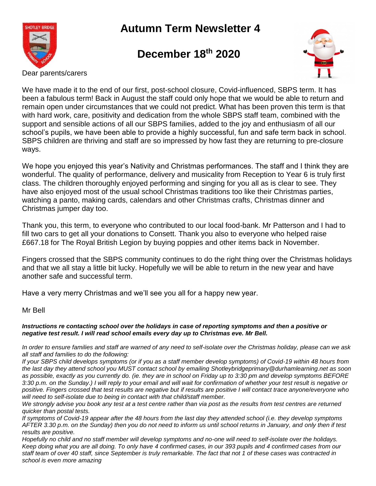

## **Autumn Term Newsletter 4**

## **December 18th 2020**



Dear parents/carers

We have made it to the end of our first, post-school closure, Covid-influenced, SBPS term. It has been a fabulous term! Back in August the staff could only hope that we would be able to return and remain open under circumstances that we could not predict. What has been proven this term is that with hard work, care, positivity and dedication from the whole SBPS staff team, combined with the support and sensible actions of all our SBPS families, added to the joy and enthusiasm of all our school's pupils, we have been able to provide a highly successful, fun and safe term back in school. SBPS children are thriving and staff are so impressed by how fast they are returning to pre-closure ways.

We hope you enjoyed this year's Nativity and Christmas performances. The staff and I think they are wonderful. The quality of performance, delivery and musicality from Reception to Year 6 is truly first class. The children thoroughly enjoyed performing and singing for you all as is clear to see. They have also enjoyed most of the usual school Christmas traditions too like their Christmas parties, watching a panto, making cards, calendars and other Christmas crafts, Christmas dinner and Christmas jumper day too.

Thank you, this term, to everyone who contributed to our local food-bank. Mr Patterson and I had to fill two cars to get all your donations to Consett. Thank you also to everyone who helped raise £667.18 for The Royal British Legion by buying poppies and other items back in November.

Fingers crossed that the SBPS community continues to do the right thing over the Christmas holidays and that we all stay a little bit lucky. Hopefully we will be able to return in the new year and have another safe and successful term.

Have a very merry Christmas and we'll see you all for a happy new year.

Mr Bell

## *Instructions re contacting school over the holidays in case of reporting symptoms and then a positive or negative test result. I will read school emails every day up to Christmas eve. Mr Bell.*

*In order to ensure families and staff are warned of any need to self-isolate over the Christmas holiday, please can we ask all staff and families to do the following:*

*If your SBPS child develops symptoms (or if you as a staff member develop symptoms) of Covid-19 within 48 hours from the last day they attend school you MUST contact school by emailing Shotleybridgeprimary@durhamlearning.net as soon as possible, exactly as you currently do. (ie. they are in school on Friday up to 3:30 pm and develop symptoms BEFORE 3:30 p.m. on the Sunday.) I will reply to your email and will wait for confirmation of whether your test result is negative or positive. Fingers crossed that test results are negative but if results are positive I will contact trace anyone/everyone who will need to self-isolate due to being in contact with that child/staff member.*

*We strongly advise you book any test at a test centre rather than via post as the results from test centres are returned quicker than postal tests.*

*If symptoms of Covid-19 appear after the 48 hours from the last day they attended school (i.e. they develop symptoms AFTER 3.30 p.m. on the Sunday) then you do not need to inform us until school returns in January, and only then if test results are positive.*

*Hopefully no child and no staff member will develop symptoms and no-one will need to self-isolate over the holidays. Keep doing what you are all doing. To only have 4 confirmed cases, in our 393 pupils and 4 confirmed cases from our staff team of over 40 staff, since September is truly remarkable. The fact that not 1 of these cases was contracted in school is even more amazing*